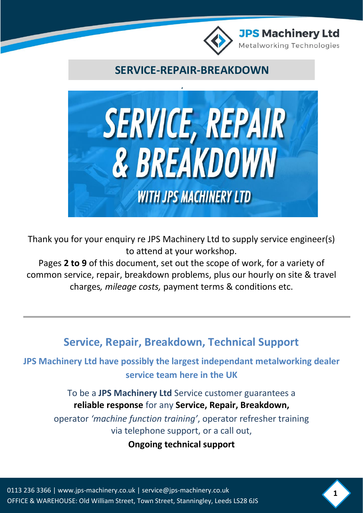

**SERVICE-REPAIR-BREAKDOWN**



Thank you for your enquiry re JPS Machinery Ltd to supply service engineer(s) to attend at your workshop.

Pages **2 to 9** of this document, set out the scope of work, for a variety of common service, repair, breakdown problems, plus our hourly on site & travel charges*, mileage costs,* payment terms & conditions etc.

**Service, Repair, Breakdown, Technical Support**

**JPS Machinery Ltd have possibly the largest independant metalworking dealer service team here in the UK**

> To be a **JPS Machinery Ltd** Service customer guarantees a **reliable response** for any **Service, Repair, Breakdown,**

operator *'machine function training'*, operator refresher training via telephone support, or a call out,

**Ongoing technical support**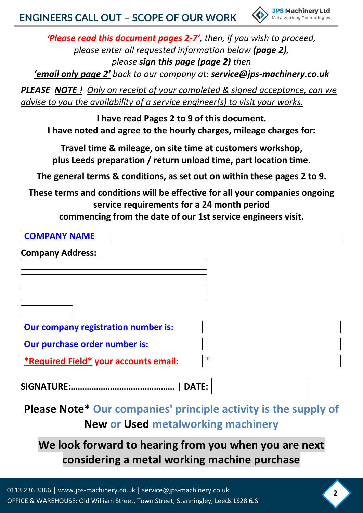

*'Please read this document pages 2-7', then, if you wish to proceed, please enter all requested information below (page 2), please sign this page (page 2) then*

*'email only page 2' back to our company at: service@jps-machinery.co.uk*

*PLEASE NOTE ! Only on receipt of your completed & signed acceptance, can we advise to you the availability of a service engineer(s) to visit your works.*

**I have read Pages 2 to 9 of this document. I have noted and agree to the hourly charges, mileage charges for:**

**Travel time & mileage, on site time at customers workshop, plus Leeds preparation / return unload time, part location time.**

**The general terms & conditions, as set out on within these pages 2 to 9.**

**These terms and conditions will be effective for all your companies ongoing service requirements for a 24 month period**

**commencing from the date of our 1st service engineers visit.**

| <b>COMPANY NAME</b>                   |              |
|---------------------------------------|--------------|
| <b>Company Address:</b>               |              |
|                                       |              |
|                                       |              |
|                                       |              |
|                                       |              |
| Our company registration number is:   |              |
| Our purchase order number is:         |              |
| *Required Field* your accounts email: | $\ast$       |
| <b>SIGNATURE:.</b>                    | <b>DATE:</b> |

**Please Note\* Our companies' principle activity is the supply of New or Used metalworking machinery**

**We look forward to hearing from you when you are next considering a metal working machine purchase**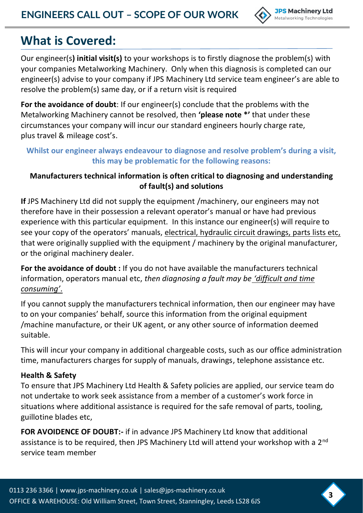

**3**

# **What is Covered:**

Our engineer(s**) initial visit(s)** to your workshops is to firstly diagnose the problem(s) with your companies Metalworking Machinery. Only when this diagnosis is completed can our engineer(s) advise to your company if JPS Machinery Ltd service team engineer's are able to resolve the problem(s) same day, or if a return visit is required

**For the avoidance of doubt**: If our engineer(s) conclude that the problems with the Metalworking Machinery cannot be resolved, then **'please note \*'** that under these circumstances your company will incur our standard engineers hourly charge rate, plus travel & mileage cost's.

## **Whilst our engineer always endeavour to diagnose and resolve problem's during a visit, this may be problematic for the following reasons:**

## **Manufacturers technical information is often critical to diagnosing and understanding of fault(s) and solutions**

**If** JPS Machinery Ltd did not supply the equipment /machinery, our engineers may not therefore have in their possession a relevant operator's manual or have had previous experience with this particular equipment. In this instance our engineer(s) will require to see your copy of the operators' manuals, electrical, hydraulic circuit drawings, parts lists etc, that were originally supplied with the equipment / machinery by the original manufacturer, or the original machinery dealer.

For the avoidance of doubt : If you do not have available the manufacturers technical information, operators manual etc, *then diagnosing a fault may be 'difficult and time consuming'*.

If you cannot supply the manufacturers technical information, then our engineer may have to on your companies' behalf, source this information from the original equipment /machine manufacture, or their UK agent, or any other source of information deemed suitable.

This will incur your company in additional chargeable costs, such as our office administration time, manufacturers charges for supply of manuals, drawings, telephone assistance etc.

## **Health & Safety**

To ensure that JPS Machinery Ltd Health & Safety policies are applied, our service team do not undertake to work seek assistance from a member of a customer's work force in situations where additional assistance is required for the safe removal of parts, tooling, guillotine blades etc,

**FOR AVOIDENCE OF DOUBT:-** if in advance JPS Machinery Ltd know that additional assistance is to be required, then JPS Machinery Ltd will attend your workshop with a 2<sup>nd</sup> service team member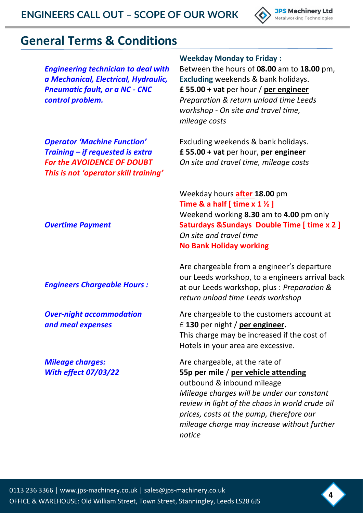

## **General Terms & Conditions**

*Operator 'Machine Function' Training – if requested is extra For the AVOIDENCE OF DOUBT This is not 'operator skill training'*

*Engineering technician to deal with a Mechanical, Electrical, Hydraulic, Pneumatic fault, or a NC - CNC control problem.*

**Weekday Monday to Friday :**

Between the hours of **08.00** am to **18.00** pm, **Excluding** weekends & bank holidays. **£ 55.00 + vat** per hour / **per engineer** *Preparation & return unload time Leeds workshop - On site and travel time, mileage costs*

Excluding weekends & bank holidays. **£ 55.00 + vat** per hour, **per engineer** *On site and travel time, mileage costs*

Weekday hours **after 18.00** pm **Time & a half [ time x 1 ½ ]** Weekend working **8.30** am to **4.00** pm only **Saturdays &Sundays Double Time [ time x 2 ]** *On site and travel time* **No Bank Holiday working**

Are chargeable from a engineer's departure our Leeds workshop, to a engineers arrival back at our Leeds workshop, plus : *Preparation & return unload time Leeds workshop*

Are chargeable to the customers account at £ **130** per night / **per engineer.** This charge may be increased if the cost of Hotels in your area are excessive.

Are chargeable, at the rate of **55p per mile** / **per vehicle attending** outbound & inbound mileage *Mileage charges will be under our constant review in light of the chaos in world crude oil prices, costs at the pump, therefore our mileage charge may increase without further notice* 

*Overtime Payment*

*Engineers Chargeable Hours :*

*Over-night accommodation and meal expenses*

*Mileage charges: With effect 07/03/22*

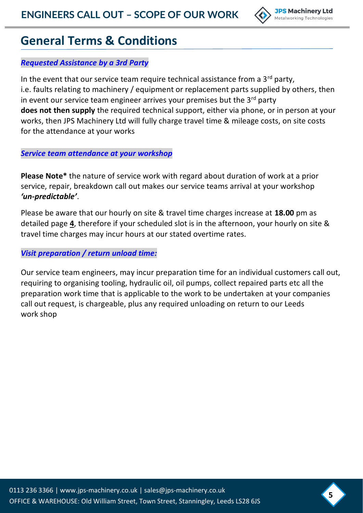

# **General Terms & Conditions**

## *Requested Assistance by a 3rd Party*

In the event that our service team require technical assistance from a  $3<sup>rd</sup>$  party, i.e. faults relating to machinery / equipment or replacement parts supplied by others, then in event our service team engineer arrives your premises but the  $3<sup>rd</sup>$  party **does not then supply** the required technical support, either via phone, or in person at your works, then JPS Machinery Ltd will fully charge travel time & mileage costs, on site costs for the attendance at your works

*Service team attendance at your workshop*

**Please Note\*** the nature of service work with regard about duration of work at a prior service, repair, breakdown call out makes our service teams arrival at your workshop *'un-predictable'*.

Please be aware that our hourly on site & travel time charges increase at **18.00** pm as detailed page **4**, therefore if your scheduled slot is in the afternoon, your hourly on site & travel time charges may incur hours at our stated overtime rates.

*Visit preparation / return unload time:*

Our service team engineers, may incur preparation time for an individual customers call out, requiring to organising tooling, hydraulic oil, oil pumps, collect repaired parts etc all the preparation work time that is applicable to the work to be undertaken at your companies call out request, is chargeable, plus any required unloading on return to our Leeds work shop

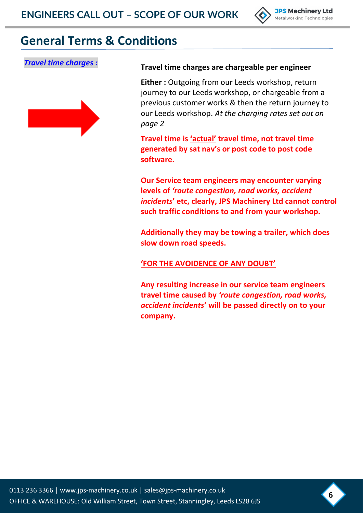

## **General Terms & Conditions**



## *Travel time charges :* **Travel time charges are chargeable per engineer**

**Either :** Outgoing from our Leeds workshop, return journey to our Leeds workshop, or chargeable from a previous customer works & then the return journey to our Leeds workshop. *At the charging rates set out on page 2* 

**Travel time is 'actual' travel time, not travel time generated by sat nav's or post code to post code software.**

**Our Service team engineers may encounter varying levels of** *'route congestion, road works, accident incidents***' etc, clearly, JPS Machinery Ltd cannot control such traffic conditions to and from your workshop.**

**Additionally they may be towing a trailer, which does slow down road speeds.**

**'FOR THE AVOIDENCE OF ANY DOUBT'**

**Any resulting increase in our service team engineers travel time caused by** *'route congestion, road works, accident incidents***' will be passed directly on to your company.**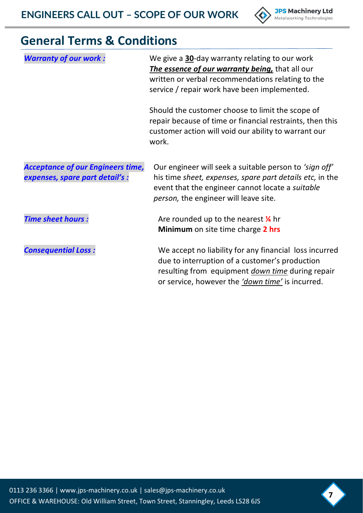

# **General Terms & Conditions**

| <b>Warranty of our work:</b>                                                | We give a 30-day warranty relating to our work<br>The essence of our warranty being, that all our<br>written or verbal recommendations relating to the<br>service / repair work have been implemented.                  |
|-----------------------------------------------------------------------------|-------------------------------------------------------------------------------------------------------------------------------------------------------------------------------------------------------------------------|
|                                                                             | Should the customer choose to limit the scope of<br>repair because of time or financial restraints, then this<br>customer action will void our ability to warrant our<br>work.                                          |
| <b>Acceptance of our Engineers time,</b><br>expenses, spare part detail's : | Our engineer will seek a suitable person to 'sign off'<br>his time sheet, expenses, spare part details etc, in the<br>event that the engineer cannot locate a suitable<br><i>person</i> , the engineer will leave site. |
| <b>Time sheet hours:</b>                                                    | Are rounded up to the nearest $\frac{1}{4}$ hr<br><b>Minimum</b> on site time charge 2 hrs                                                                                                                              |
| <b>Consequential Loss:</b>                                                  | We accept no liability for any financial loss incurred<br>due to interruption of a customer's production<br>resulting from equipment <i>down time</i> during repair<br>or service, however the 'down time' is incurred. |

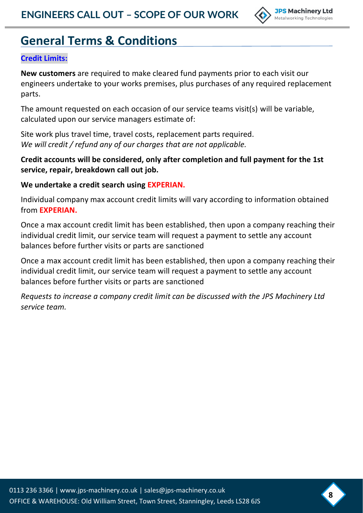

# **General Terms & Conditions**

### **Credit Limits:**

**New customers** are required to make cleared fund payments prior to each visit our engineers undertake to your works premises, plus purchases of any required replacement parts.

The amount requested on each occasion of our service teams visit(s) will be variable, calculated upon our service managers estimate of:

Site work plus travel time, travel costs, replacement parts required. *We will credit / refund any of our charges that are not applicable.*

## **Credit accounts will be considered, only after completion and full payment for the 1st service, repair, breakdown call out job.**

#### **We undertake a credit search using EXPERIAN.**

Individual company max account credit limits will vary according to information obtained from **EXPERIAN.**

Once a max account credit limit has been established, then upon a company reaching their individual credit limit, our service team will request a payment to settle any account balances before further visits or parts are sanctioned

Once a max account credit limit has been established, then upon a company reaching their individual credit limit, our service team will request a payment to settle any account balances before further visits or parts are sanctioned

*Requests to increase a company credit limit can be discussed with the JPS Machinery Ltd service team.*